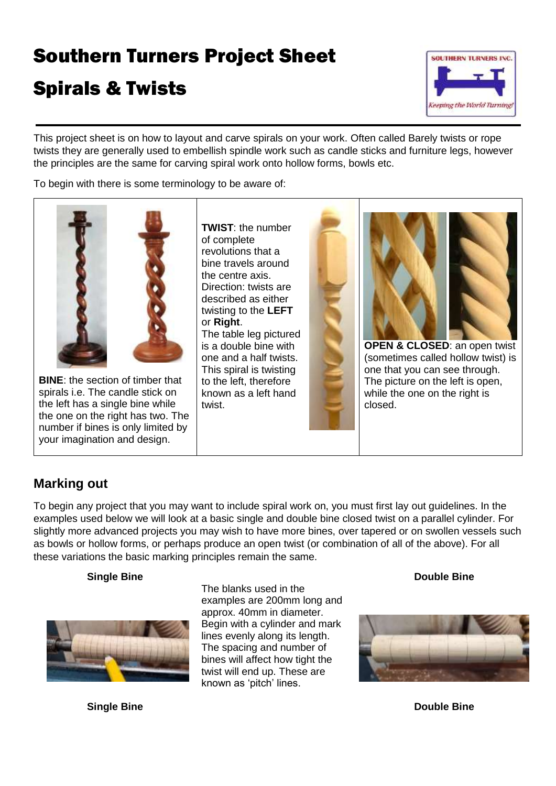# Southern Turners Project Sheet

# Spirals & Twists



This project sheet is on how to layout and carve spirals on your work. Often called Barely twists or rope twists they are generally used to embellish spindle work such as candle sticks and furniture legs, however the principles are the same for carving spiral work onto hollow forms, bowls etc.

To begin with there is some terminology to be aware of:



**BINE**: the section of timber that spirals i.e. The candle stick on the left has a single bine while the one on the right has two. The number if bines is only limited by your imagination and design.

**TWIST**: the number of complete revolutions that a bine travels around the centre axis. Direction: twists are described as either twisting to the **LEFT** or **Right**. The table leg pictured is a double bine with

one and a half twists. This spiral is twisting to the left, therefore known as a left hand twist.



(sometimes called hollow twist) is The picture on the left is open, while the one on the right is closed.

## **Marking out**

To begin any project that you may want to include spiral work on, you must first lay out guidelines. In the examples used below we will look at a basic single and double bine closed twist on a parallel cylinder. For slightly more advanced projects you may wish to have more bines, over tapered or on swollen vessels such as bowls or hollow forms, or perhaps produce an open twist (or combination of all of the above). For all these variations the basic marking principles remain the same.

#### **Single Bine**



The blanks used in the examples are 200mm long and approx. 40mm in diameter. Begin with a cylinder and mark lines evenly along its length. The spacing and number of bines will affect how tight the twist will end up. These are known as 'pitch' lines.

#### **Double Bine**



**Single Bine Double Bine Double Bine Double Bine Double Bine**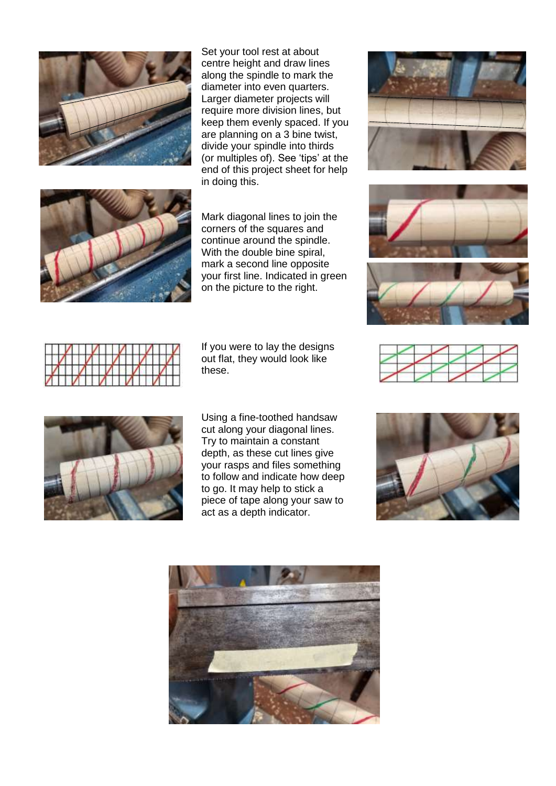

Set your tool rest at about centre height and draw lines along the spindle to mark the diameter into even quarters. Larger diameter projects will require more division lines, but keep them evenly spaced. If you are planning on a 3 bine twist, divide your spindle into thirds (or multiples of). See 'tips' at the end of this project sheet for help in doing this.



Mark diagonal lines to join the corners of the squares and continue around the spindle. With the double bine spiral, mark a second line opposite your first line. Indicated in green on the picture to the right.

If you were to lay the designs out flat, they would look like these.



Using a fine-toothed handsaw cut along your diagonal lines. Try to maintain a constant depth, as these cut lines give your rasps and files something to follow and indicate how deep to go. It may help to stick a piece of tape along your saw to act as a depth indicator.











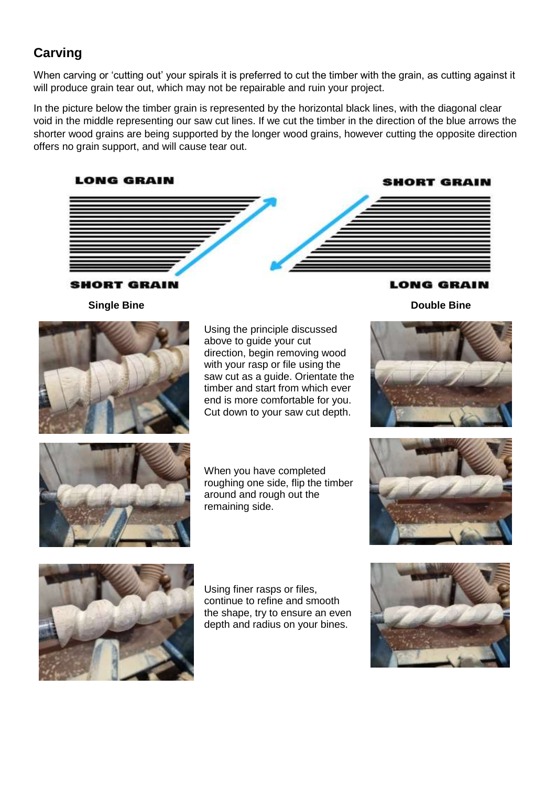# **Carving**

When carving or 'cutting out' your spirals it is preferred to cut the timber with the grain, as cutting against it will produce grain tear out, which may not be repairable and ruin your project.

In the picture below the timber grain is represented by the horizontal black lines, with the diagonal clear void in the middle representing our saw cut lines. If we cut the timber in the direction of the blue arrows the shorter wood grains are being supported by the longer wood grains, however cutting the opposite direction offers no grain support, and will cause tear out.



### **SHORT GRAIN Single Bine**



Using the principle discussed above to guide your cut direction, begin removing wood with your rasp or file using the saw cut as a guide. Orientate the timber and start from which ever end is more comfortable for you. Cut down to your saw cut depth.

**LONG GRAIN** 

**Double Bine**





When you have completed roughing one side, flip the timber around and rough out the remaining side.





Using finer rasps or files, continue to refine and smooth the shape, try to ensure an even depth and radius on your bines.